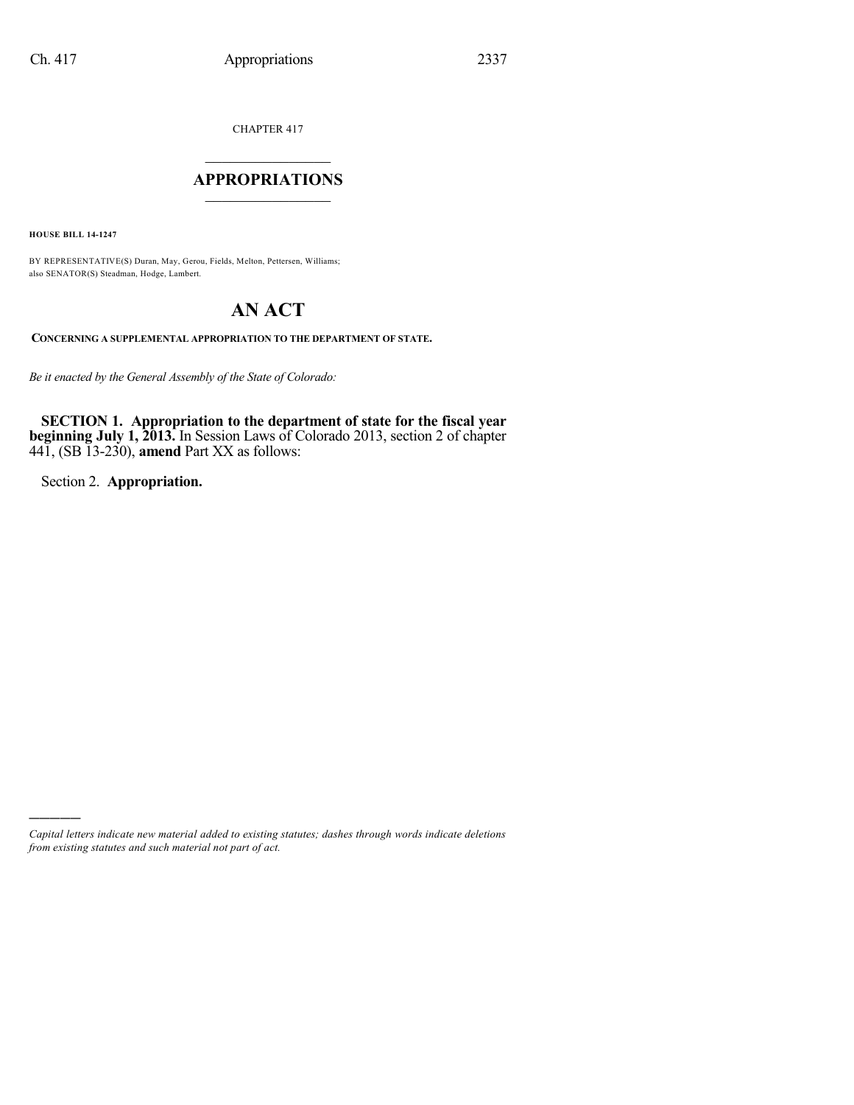CHAPTER 417

### $\mathcal{L}_\text{max}$  . The set of the set of the set of the set of the set of the set of the set of the set of the set of the set of the set of the set of the set of the set of the set of the set of the set of the set of the set **APPROPRIATIONS**  $\_$   $\_$   $\_$   $\_$   $\_$   $\_$   $\_$   $\_$

**HOUSE BILL 14-1247**

BY REPRESENTATIVE(S) Duran, May, Gerou, Fields, Melton, Pettersen, Williams; also SENATOR(S) Steadman, Hodge, Lambert.

# **AN ACT**

**CONCERNING A SUPPLEMENTAL APPROPRIATION TO THE DEPARTMENT OF STATE.**

*Be it enacted by the General Assembly of the State of Colorado:*

**SECTION 1. Appropriation to the department of state for the fiscal year beginning July 1, 2013.** In Session Laws of Colorado 2013, section 2 of chapter 441, (SB 13-230), **amend** Part XX as follows:

Section 2. **Appropriation.**

)))))

*Capital letters indicate new material added to existing statutes; dashes through words indicate deletions from existing statutes and such material not part of act.*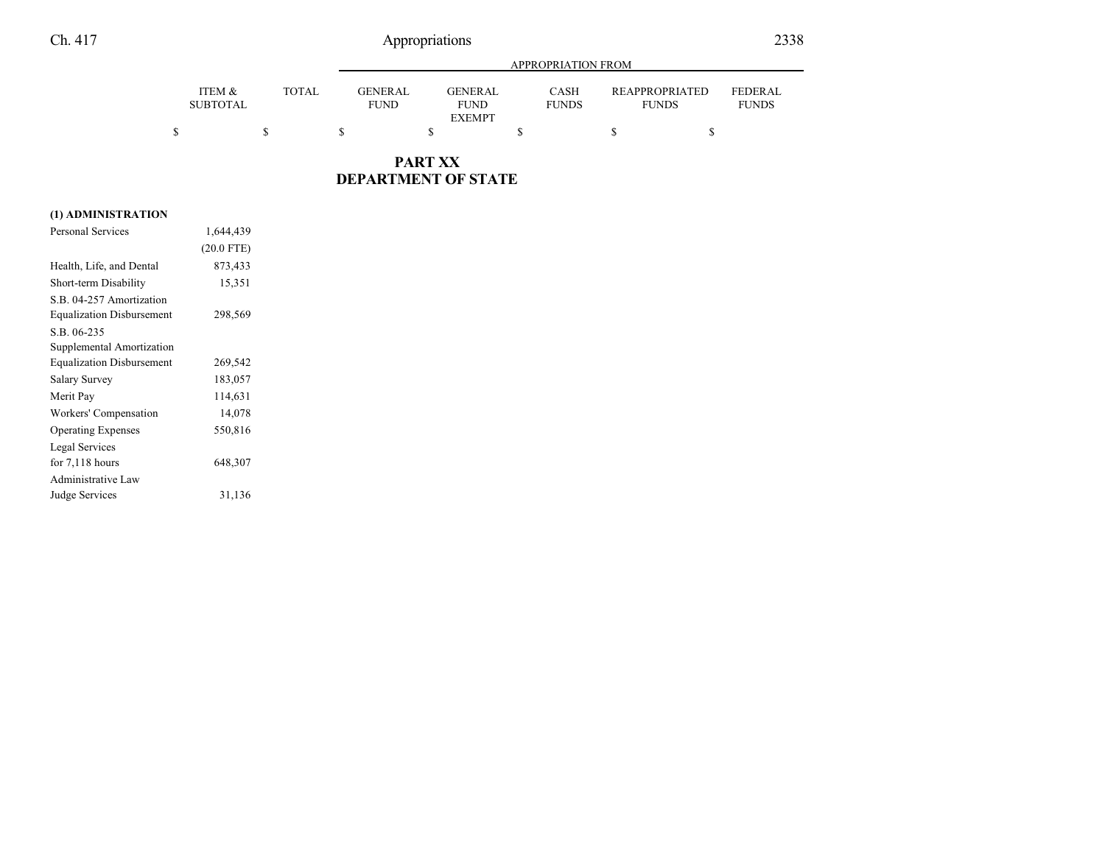## Ch. 417 Appropriations 2338

|                           |              | <b>APPROPRIATION FROM</b>     |                               |                             |                                       |                                |
|---------------------------|--------------|-------------------------------|-------------------------------|-----------------------------|---------------------------------------|--------------------------------|
| ITEM &<br><b>SUBTOTAL</b> | <b>TOTAL</b> | <b>GENERAL</b><br><b>FUND</b> | <b>GENERAL</b><br><b>FUND</b> | <b>CASH</b><br><b>FUNDS</b> | <b>REAPPROPRIATED</b><br><b>FUNDS</b> | <b>FEDERAL</b><br><b>FUNDS</b> |
|                           |              |                               | <b>EXEMPT</b>                 |                             |                                       |                                |

### **PART XX DEPARTMENT OF STATE**

### **(1) ADMINISTRATION**

| <b>Personal Services</b>         | 1,644,439    |  |
|----------------------------------|--------------|--|
|                                  | $(20.0$ FTE) |  |
| Health, Life, and Dental         | 873,433      |  |
| Short-term Disability            | 15,351       |  |
| S.B. 04-257 Amortization         |              |  |
| <b>Equalization Disbursement</b> | 298,569      |  |
| S.B. 06-235                      |              |  |
| Supplemental Amortization        |              |  |
| <b>Equalization Disbursement</b> | 269,542      |  |
| Salary Survey                    | 183,057      |  |
| Merit Pay                        | 114,631      |  |
| Workers' Compensation            | 14,078       |  |
| <b>Operating Expenses</b>        | 550,816      |  |
| Legal Services                   |              |  |
| for $7,118$ hours                | 648,307      |  |
| <b>Administrative Law</b>        |              |  |
| Judge Services                   | 31,136       |  |
|                                  |              |  |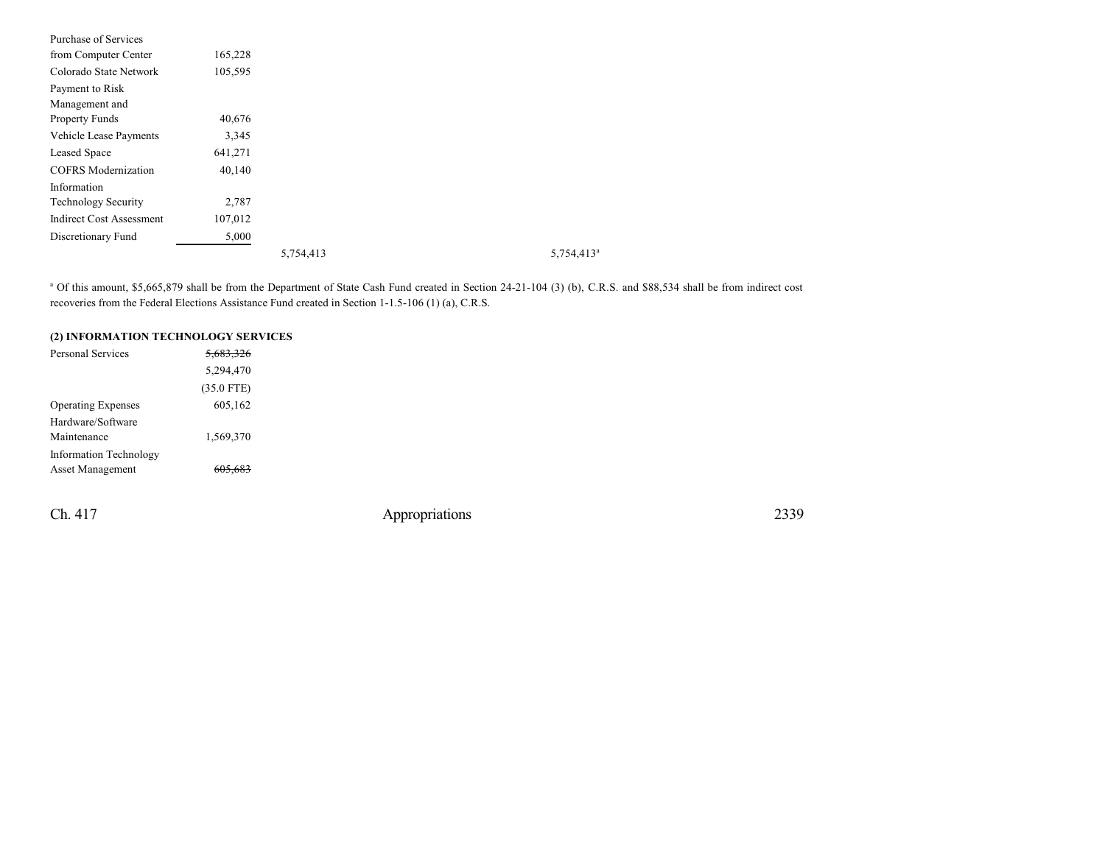| Purchase of Services            |         |           |                        |
|---------------------------------|---------|-----------|------------------------|
| from Computer Center            | 165,228 |           |                        |
| Colorado State Network          | 105,595 |           |                        |
| Payment to Risk                 |         |           |                        |
| Management and                  |         |           |                        |
| <b>Property Funds</b>           | 40,676  |           |                        |
| Vehicle Lease Payments          | 3,345   |           |                        |
| Leased Space                    | 641,271 |           |                        |
| <b>COFRS</b> Modernization      | 40,140  |           |                        |
| Information                     |         |           |                        |
| <b>Technology Security</b>      | 2,787   |           |                        |
| <b>Indirect Cost Assessment</b> | 107,012 |           |                        |
| Discretionary Fund              | 5,000   |           |                        |
|                                 |         | 5,754,413 | 5,754,413 <sup>a</sup> |

<sup>a</sup> Of this amount, \$5,665,879 shall be from the Department of State Cash Fund created in Section 24-21-104 (3) (b), C.R.S. and \$88,534 shall be from indirect cost recoveries from the Federal Elections Assistance Fund created in Section 1-1.5-106 (1) (a), C.R.S.

| (2) INFORMATION TECHNOLOGY SERVICES |                      |  |  |  |  |
|-------------------------------------|----------------------|--|--|--|--|
| Personal Services                   | <del>5,683,326</del> |  |  |  |  |
|                                     | 5,294,470            |  |  |  |  |
|                                     | $(35.0$ FTE)         |  |  |  |  |
| <b>Operating Expenses</b>           | 605,162              |  |  |  |  |
| Hardware/Software                   |                      |  |  |  |  |
| Maintenance                         | 1,569,370            |  |  |  |  |
| Information Technology              |                      |  |  |  |  |
| Asset Management                    |                      |  |  |  |  |
|                                     |                      |  |  |  |  |

Ch. 417 Appropriations 2339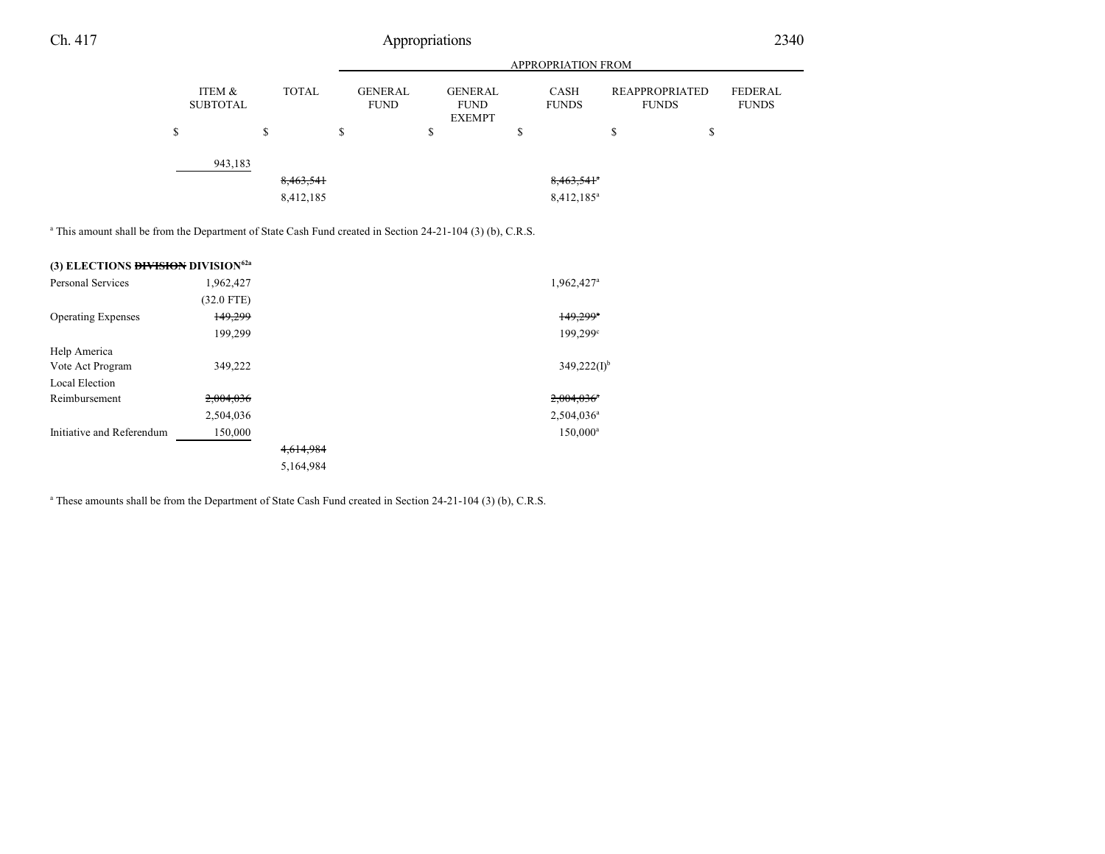## Ch. 417 Appropriations 2340

|                           |              |                               |                                                | <b>APPROPRIATION FROM</b> |                                       |                         |
|---------------------------|--------------|-------------------------------|------------------------------------------------|---------------------------|---------------------------------------|-------------------------|
| ITEM &<br><b>SUBTOTAL</b> | <b>TOTAL</b> | <b>GENERAL</b><br><b>FUND</b> | <b>GENERAL</b><br><b>FUND</b><br><b>EXEMPT</b> | CASH<br><b>FUNDS</b>      | <b>REAPPROPRIATED</b><br><b>FUNDS</b> | FEDERAL<br><b>FUNDS</b> |
| \$                        | S            | \$                            | \$                                             | \$                        | S                                     | \$                      |
| 943,183                   |              |                               |                                                |                           |                                       |                         |
|                           | 8,463,541    |                               |                                                | $8,463,541$ <sup>a</sup>  |                                       |                         |
|                           | 8,412,185    |                               |                                                | $8,412,185^a$             |                                       |                         |

a This amount shall be from the Department of State Cash Fund created in Section 24-21-104 (3) (b), C.R.S.

| (3) ELECTIONS <b>DIVISION</b> DIVISION <sup>62a</sup> |              |           |                          |
|-------------------------------------------------------|--------------|-----------|--------------------------|
| Personal Services                                     | 1,962,427    |           | 1,962,427 <sup>a</sup>   |
|                                                       | $(32.0$ FTE) |           |                          |
| <b>Operating Expenses</b>                             | 149,299      |           | $149,299$ <sup>a</sup>   |
|                                                       | 199,299      |           | 199,299 <sup>c</sup>     |
| Help America                                          |              |           |                          |
| Vote Act Program                                      | 349,222      |           | $349,222(I)^{b}$         |
| Local Election                                        |              |           |                          |
| Reimbursement                                         | 2,004,036    |           | $2,004,036$ <sup>a</sup> |
|                                                       | 2,504,036    |           | $2,504,036^{\circ}$      |
| Initiative and Referendum                             | 150,000      |           | 150,000 <sup>a</sup>     |
|                                                       |              | 4.614.984 |                          |
|                                                       |              | 5,164,984 |                          |

a These amounts shall be from the Department of State Cash Fund created in Section 24-21-104 (3) (b), C.R.S.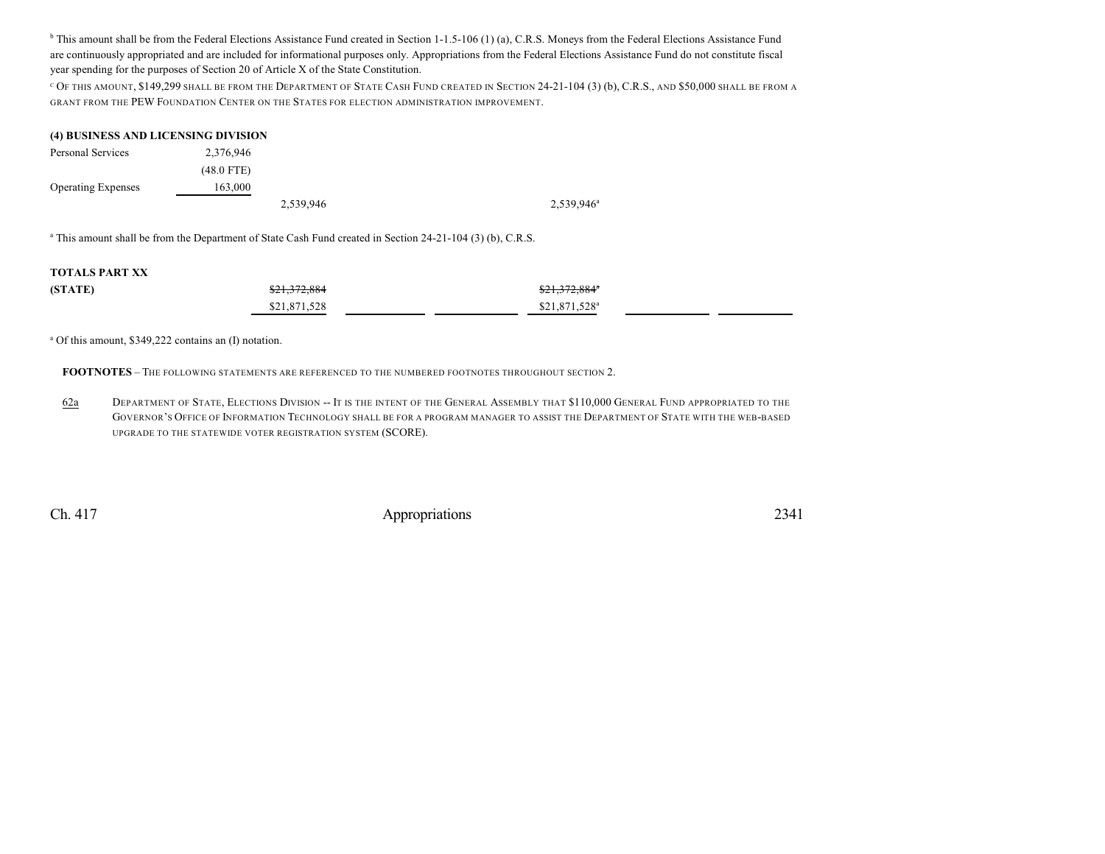<sup>b</sup> This amount shall be from the Federal Elections Assistance Fund created in Section 1-1.5-106 (1) (a), C.R.S. Moneys from the Federal Elections Assistance Fund are continuously appropriated and are included for informational purposes only. Appropriations from the Federal Elections Assistance Fund do not constitute fiscal year spending for the purposes of Section 20 of Article X of the State Constitution.

 $^{\rm c}$  Of this amount, \$149,299 shall be from the Department of State Cash Fund created in Section 24-21-104 (3) (b), C.R.S., and \$50,000 shall be from a GRANT FROM THE PEW FOUNDATION CENTER ON THE STATES FOR ELECTION ADMINISTRATION IMPROVEMENT.

#### **(4) BUSINESS AND LICENSING DIVISION**

| Personal Services         | 2,376,946    |           |               |
|---------------------------|--------------|-----------|---------------|
|                           | $(48.0$ FTE) |           |               |
| <b>Operating Expenses</b> | 163,000      |           |               |
|                           |              | 2,539,946 | $2,539,946^a$ |

a This amount shall be from the Department of State Cash Fund created in Section 24-21-104 (3) (b), C.R.S.

#### **TOTALS PART XX**

| (STATE) | \$21,372,884 | \$21,372,884"             |
|---------|--------------|---------------------------|
|         | \$21,871,528 | \$21,871,528 <sup>a</sup> |

a Of this amount, \$349,222 contains an (I) notation.

**FOOTNOTES** – THE FOLLOWING STATEMENTS ARE REFERENCED TO THE NUMBERED FOOTNOTES THROUGHOUT SECTION 2.

62a DEPARTMENT OF STATE, ELECTIONS DIVISION -- IT IS THE INTENT OF THE GENERAL ASSEMBLY THAT \$110,000 GENERAL FUND APPROPRIATED TO THE GOVERNOR'S OFFICE OF INFORMATION TECHNOLOGY SHALL BE FOR A PROGRAM MANAGER TO ASSIST THE DEPARTMENT OF STATE WITH THE WEB-BASED UPGRADE TO THE STATEWIDE VOTER REGISTRATION SYSTEM (SCORE).

Ch. 417 Appropriations 2341